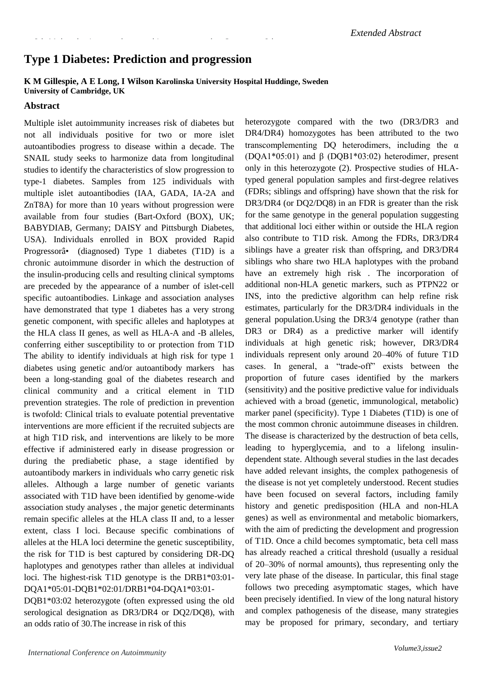# **Type 1 Diabetes: Prediction and progression**

8th Molecular Immunology and Immunogenetics Congress 8th

#### **K M Gillespie, A E Long, I Wilson Karolinska University Hospital Huddinge, Sweden University of Cambridge, UK**

#### **Abstract**

Multiple islet autoimmunity increases risk of diabetes but not all individuals positive for two or more islet autoantibodies progress to disease within a decade. The SNAIL study seeks to harmonize data from longitudinal studies to identify the characteristics of slow progression to type-1 diabetes. Samples from 125 individuals with multiple islet autoantibodies (IAA, GADA, IA-2A and ZnT8A) for more than 10 years without progression were available from four studies (Bart-Oxford (BOX), UK; BABYDIAB, Germany; DAISY and Pittsburgh Diabetes, USA). Individuals enrolled in BOX provided Rapid Progressorâ• (diagnosed) Type 1 diabetes (T1D) is a chronic autoimmune disorder in which the destruction of the insulin-producing cells and resulting clinical symptoms are preceded by the appearance of a number of islet-cell specific autoantibodies. Linkage and association analyses have demonstrated that type 1 diabetes has a very strong genetic component, with specific alleles and haplotypes at the HLA class II genes, as well as HLA-A and -B alleles, conferring either susceptibility to or protection from T1D The ability to identify individuals at high risk for type 1 diabetes using genetic and/or autoantibody markers has been a long-standing goal of the diabetes research and clinical community and a critical element in T1D prevention strategies. The role of prediction in prevention is twofold: Clinical trials to evaluate potential preventative interventions are more efficient if the recruited subjects are at high T1D risk, and interventions are likely to be more effective if administered early in disease progression or during the prediabetic phase, a stage identified by autoantibody markers in individuals who carry genetic risk alleles. Although a large number of genetic variants associated with T1D have been identified by genome-wide association study analyses , the major genetic determinants remain specific alleles at the HLA class II and, to a lesser extent, class I loci. Because specific combinations of alleles at the HLA loci determine the genetic susceptibility, the risk for T1D is best captured by considering DR-DQ haplotypes and genotypes rather than alleles at individual loci. The highest-risk T1D genotype is the DRB1\*03:01- DQA1\*05:01-DQB1\*02:01/DRB1\*04-DQA1\*03:01- DQB1\*03:02 heterozygote (often expressed using the old

heterozygote compared with the two (DR3/DR3 and DR4/DR4) homozygotes has been attributed to the two transcomplementing DQ heterodimers, including the  $\alpha$ (DQA1\*05:01) and β (DQB1\*03:02) heterodimer, present only in this heterozygote (2). Prospective studies of HLAtyped general population samples and first-degree relatives (FDRs; siblings and offspring) have shown that the risk for DR3/DR4 (or DQ2/DQ8) in an FDR is greater than the risk for the same genotype in the general population suggesting that additional loci either within or outside the HLA region also contribute to T1D risk. Among the FDRs, DR3/DR4 siblings have a greater risk than offspring, and DR3/DR4 siblings who share two HLA haplotypes with the proband have an extremely high risk . The incorporation of additional non-HLA genetic markers, such as PTPN22 or INS, into the predictive algorithm can help refine risk estimates, particularly for the DR3/DR4 individuals in the general population.Using the DR3/4 genotype (rather than DR3 or DR4) as a predictive marker will identify individuals at high genetic risk; however, DR3/DR4 individuals represent only around 20–40% of future T1D cases. In general, a "trade-off" exists between the proportion of future cases identified by the markers (sensitivity) and the positive predictive value for individuals achieved with a broad (genetic, immunological, metabolic) marker panel (specificity). Type 1 Diabetes (T1D) is one of the most common chronic autoimmune diseases in children. The disease is characterized by the destruction of beta cells, leading to hyperglycemia, and to a lifelong insulindependent state. Although several studies in the last decades have added relevant insights, the complex pathogenesis of the disease is not yet completely understood. Recent studies have been focused on several factors, including family history and genetic predisposition (HLA and non-HLA genes) as well as environmental and metabolic biomarkers, with the aim of predicting the development and progression of T1D. Once a child becomes symptomatic, beta cell mass has already reached a critical threshold (usually a residual of 20–30% of normal amounts), thus representing only the very late phase of the disease. In particular, this final stage follows two preceding asymptomatic stages, which have been precisely identified. In view of the long natural history and complex pathogenesis of the disease, many strategies may be proposed for primary, secondary, and tertiary

an odds ratio of 30.The increase in risk of this

serological designation as DR3/DR4 or DQ2/DQ8), with